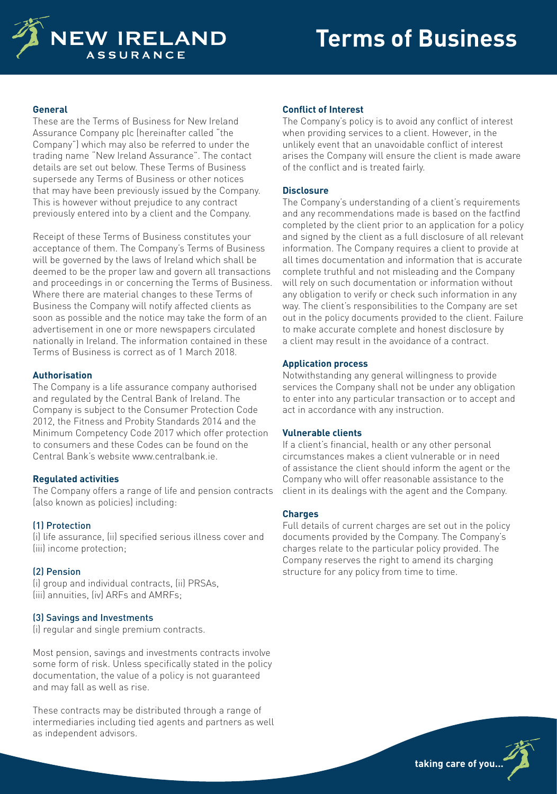

### **General**

These are the Terms of Business for New Ireland Assurance Company plc (hereinafter called "the Company") which may also be referred to under the trading name "New Ireland Assurance". The contact details are set out below. These Terms of Business supersede any Terms of Business or other notices that may have been previously issued by the Company. This is however without prejudice to any contract previously entered into by a client and the Company.

Receipt of these Terms of Business constitutes your acceptance of them. The Company's Terms of Business will be governed by the laws of Ireland which shall be deemed to be the proper law and govern all transactions and proceedings in or concerning the Terms of Business. Where there are material changes to these Terms of Business the Company will notify affected clients as soon as possible and the notice may take the form of an advertisement in one or more newspapers circulated nationally in Ireland. The information contained in these Terms of Business is correct as of 1 March 2018.

#### **Authorisation**

The Company is a life assurance company authorised and regulated by the Central Bank of Ireland. The Company is subject to the Consumer Protection Code 2012, the Fitness and Probity Standards 2014 and the Minimum Competency Code 2017 which offer protection to consumers and these Codes can be found on the Central Bank's website www.centralbank.ie.

## **Regulated activities**

The Company offers a range of life and pension contracts (also known as policies) including:

## (1) Protection

(i) life assurance, (ii) specified serious illness cover and (iii) income protection;

## (2) Pension

(i) group and individual contracts, (ii) PRSAs, (iii) annuities, (iv) ARFs and AMRFs;

## (3) Savings and Investments

(i) regular and single premium contracts.

Most pension, savings and investments contracts involve some form of risk. Unless specifically stated in the policy documentation, the value of a policy is not guaranteed and may fall as well as rise.

These contracts may be distributed through a range of intermediaries including tied agents and partners as well as independent advisors.

### **Conflict of Interest**

The Company's policy is to avoid any conflict of interest when providing services to a client. However, in the unlikely event that an unavoidable conflict of interest arises the Company will ensure the client is made aware of the conflict and is treated fairly.

#### **Disclosure**

The Company's understanding of a client's requirements and any recommendations made is based on the factfind completed by the client prior to an application for a policy and signed by the client as a full disclosure of all relevant information. The Company requires a client to provide at all times documentation and information that is accurate complete truthful and not misleading and the Company will rely on such documentation or information without any obligation to verify or check such information in any way. The client's responsibilities to the Company are set out in the policy documents provided to the client. Failure to make accurate complete and honest disclosure by a client may result in the avoidance of a contract.

### **Application process**

Notwithstanding any general willingness to provide services the Company shall not be under any obligation to enter into any particular transaction or to accept and act in accordance with any instruction.

## **Vulnerable clients**

If a client's financial, health or any other personal circumstances makes a client vulnerable or in need of assistance the client should inform the agent or the Company who will offer reasonable assistance to the client in its dealings with the agent and the Company.

## **Charges**

Full details of current charges are set out in the policy documents provided by the Company. The Company's charges relate to the particular policy provided. The Company reserves the right to amend its charging structure for any policy from time to time.